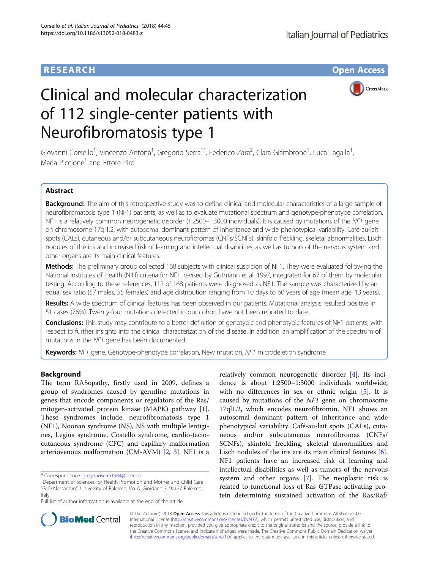# **RESEARCH CHE Open Access**



# Clinical and molecular characterization of 112 single-center patients with Neurofibromatosis type 1

Giovanni Corsello<sup>1</sup>, Vincenzo Antona<sup>1</sup>, Gregorio Serra<sup>1\*</sup>, Federico Zara<sup>2</sup>, Clara Giambrone<sup>1</sup>, Luca Lagalla<sup>1</sup> , Maria Piccione<sup>1</sup> and Ettore Piro<sup>1</sup>

# Abstract

Background: The aim of this retrospective study was to define clinical and molecular characteristics of a large sample of neurofibromatosis type 1 (NF1) patients, as well as to evaluate mutational spectrum and genotype-phenotype correlation. NF1 is a relatively common neurogenetic disorder (1:2500–1:3000 individuals). It is caused by mutations of the NF1 gene on chromosome 17ql1.2, with autosomal dominant pattern of inheritance and wide phenotypical variability. Café-au-lait spots (CALs), cutaneous and/or subcutaneous neurofibromas (CNFs/SCNFs), skinfold freckling, skeletal abnormalities, Lisch nodules of the iris and increased risk of learning and intellectual disabilities, as well as tumors of the nervous system and other organs are its main clinical features.

Methods: The preliminary group collected 168 subjects with clinical suspicion of NF1. They were evaluated following the National Institutes of Health (NIH) criteria for NF1, revised by Gutmann et al. 1997, integrated for 67 of them by molecular testing. According to these references, 112 of 168 patients were diagnosed as NF1. The sample was characterized by an equal sex ratio (57 males, 55 females) and age distribution ranging from 10 days to 60 years of age (mean age, 13 years).

Results: A wide spectrum of clinical features has been observed in our patients. Mutational analysis resulted positive in 51 cases (76%). Twenty-four mutations detected in our cohort have not been reported to date.

Conclusions: This study may contribute to a better definition of genotypic and phenotypic features of NF1 patients, with respect to further insights into the clinical characterization of the disease. In addition, an amplification of the spectrum of mutations in the NF1 gene has been documented.

Keywords: NF1 gene, Genotype-phenotype correlation, New mutation, NF1 microdeletion syndrome

# Background

The term RASopathy, firstly used in 2009, defines a group of syndromes caused by germline mutations in genes that encode components or regulators of the Ras/ mitogen-activated protein kinase (MAPK) pathway [\[1](#page-6-0)]. These syndromes include: neurofibromatosis type 1 (NF1), Noonan syndrome (NS), NS with multiple lentigines, Legius syndrome, Costello syndrome, cardio-faciocutaneous syndrome (CFC) and capillary malformation arteriovenous malformation (CM-AVM) [[2,](#page-6-0) [3\]](#page-6-0). NF1 is a

relatively common neurogenetic disorder [[4\]](#page-6-0). Its incidence is about 1:2500–1:3000 individuals worldwide, with no differences in sex or ethnic origin [\[5](#page-6-0)]. It is caused by mutations of the NF1 gene on chromosome 17ql1.2, which encodes neurofibromin. NF1 shows an autosomal dominant pattern of inheritance and wide phenotypical variability. Café-au-lait spots (CALs), cutaneous and/or subcutaneous neurofibromas (CNFs/ SCNFs), skinfold freckling, skeletal abnormalities and Lisch nodules of the iris are its main clinical features [\[6](#page-6-0)]. NF1 patients have an increased risk of learning and intellectual disabilities as well as tumors of the nervous system and other organs [[7\]](#page-6-0). The neoplastic risk is related to functional loss of Ras GTPase-activating protein determining sustained activation of the Ras/Raf/



© The Author(s). 2018 Open Access This article is distributed under the terms of the Creative Commons Attribution 4.0 International License [\(http://creativecommons.org/licenses/by/4.0/](http://creativecommons.org/licenses/by/4.0/)), which permits unrestricted use, distribution, and reproduction in any medium, provided you give appropriate credit to the original author(s) and the source, provide a link to the Creative Commons license, and indicate if changes were made. The Creative Commons Public Domain Dedication waiver [\(http://creativecommons.org/publicdomain/zero/1.0/](http://creativecommons.org/publicdomain/zero/1.0/)) applies to the data made available in this article, unless otherwise stated.

<sup>\*</sup> Correspondence: [gregorioserra1984@libero.it](mailto:gregorioserra1984@libero.it) <sup>1</sup>

<sup>&</sup>lt;sup>1</sup>Department of Sciences for Health Promotion and Mother and Child Care "G. D'Alessandro", University of Palermo, Via A. Giordano 3, 90127 Palermo, Italy

Full list of author information is available at the end of the article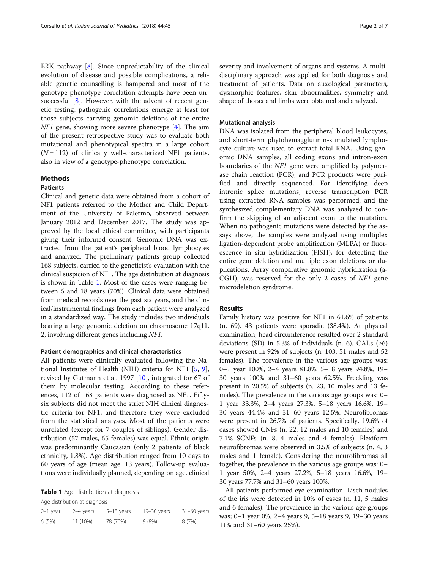ERK pathway [\[8](#page-6-0)]. Since unpredictability of the clinical evolution of disease and possible complications, a reliable genetic counselling is hampered and most of the genotype-phenotype correlation attempts have been unsuccessful [\[8](#page-6-0)]. However, with the advent of recent genetic testing, pathogenic correlations emerge at least for those subjects carrying genomic deletions of the entire NF1 gene, showing more severe phenotype [\[4](#page-6-0)]. The aim of the present retrospective study was to evaluate both mutational and phenotypical spectra in a large cohort  $(N = 112)$  of clinically well-characterized NF1 patients, also in view of a genotype-phenotype correlation.

# Methods

### Patients

Clinical and genetic data were obtained from a cohort of NF1 patients referred to the Mother and Child Department of the University of Palermo, observed between January 2012 and December 2017. The study was approved by the local ethical committee, with participants giving their informed consent. Genomic DNA was extracted from the patient's peripheral blood lymphocytes and analyzed. The preliminary patients group collected 168 subjects, carried to the geneticist's evaluation with the clinical suspicion of NF1. The age distribution at diagnosis is shown in Table 1. Most of the cases were ranging between 5 and 18 years (70%). Clinical data were obtained from medical records over the past six years, and the clinical/instrumental findings from each patient were analyzed in a standardized way. The study includes two individuals bearing a large genomic deletion on chromosome 17q11. 2, involving different genes including NF1.

#### Patient demographics and clinical characteristics

All patients were clinically evaluated following the National Institutes of Health (NIH) criteria for NF1 [\[5](#page-6-0), [9](#page-6-0)], revised by Gutmann et al. 1997 [\[10](#page-6-0)], integrated for 67 of them by molecular testing. According to these references, 112 of 168 patients were diagnosed as NF1. Fiftysix subjects did not meet the strict NIH clinical diagnostic criteria for NF1, and therefore they were excluded from the statistical analyses. Most of the patients were unrelated (except for 7 couples of siblings). Gender distribution (57 males, 55 females) was equal. Ethnic origin was predominantly Caucasian (only 2 patients of black ethnicity, 1.8%). Age distribution ranged from 10 days to 60 years of age (mean age, 13 years). Follow-up evaluations were individually planned, depending on age, clinical

Table 1 Age distribution at diagnosis

| Age distribution at diagnosis |           |              |               |               |  |  |  |  |
|-------------------------------|-----------|--------------|---------------|---------------|--|--|--|--|
| $0-1$ year                    | 2-4 years | $5-18$ years | $19-30$ years | $31-60$ years |  |  |  |  |
| 6(5%)                         | 11 (10%)  | 78 (70%)     | 9(8%)         | 8(7%)         |  |  |  |  |

severity and involvement of organs and systems. A multidisciplinary approach was applied for both diagnosis and treatment of patients. Data on auxological parameters, dysmorphic features, skin abnormalities, symmetry and shape of thorax and limbs were obtained and analyzed.

#### Mutational analysis

DNA was isolated from the peripheral blood leukocytes, and short-term phytohemagglutinin-stimulated lymphocyte culture was used to extract total RNA. Using genomic DNA samples, all coding exons and intron-exon boundaries of the NF1 gene were amplified by polymerase chain reaction (PCR), and PCR products were purified and directly sequenced. For identifying deep intronic splice mutations, reverse transcription PCR using extracted RNA samples was performed, and the synthesized complementary DNA was analyzed to confirm the skipping of an adjacent exon to the mutation. When no pathogenic mutations were detected by the assays above, the samples were analyzed using multiplex ligation-dependent probe amplification (MLPA) or fluorescence in situ hybridization (FISH), for detecting the entire gene deletion and multiple exon deletions or duplications. Array comparative genomic hybridization (a-CGH), was reserved for the only 2 cases of NF1 gene microdeletion syndrome.

# **Results**

Family history was positive for NF1 in 61.6% of patients (n. 69). 43 patients were sporadic (38.4%). At physical examination, head circumference resulted over 2 standard deviations (SD) in 5.3% of individuals (n. 6). CALs  $(\geq 6)$ were present in 92% of subjects (n. 103, 51 males and 52 females). The prevalence in the various age groups was: 0–1 year 100%, 2–4 years 81.8%, 5–18 years 94.8%, 19– 30 years 100% and 31–60 years 62.5%. Freckling was present in 20.5% of subjects (n. 23, 10 males and 13 females). The prevalence in the various age groups was: 0– 1 year 33.3%, 2–4 years 27.3%, 5–18 years 16.6%, 19– 30 years 44.4% and 31–60 years 12.5%. Neurofibromas were present in 26.7% of patients. Specifically, 19.6% of cases showed CNFs (n. 22, 12 males and 10 females) and 7.1% SCNFs (n. 8, 4 males and 4 females). Plexiform neurofibromas were observed in 3.5% of subjects (n. 4, 3 males and 1 female). Considering the neurofibromas all together, the prevalence in the various age groups was: 0– 1 year 50%, 2–4 years 27.2%, 5–18 years 16.6%, 19– 30 years 77.7% and 31–60 years 100%.

All patients performed eye examination. Lisch nodules of the iris were detected in 10% of cases (n. 11, 5 males and 6 females). The prevalence in the various age groups was; 0–1 year 0%, 2–4 years 9, 5–18 years 9, 19–30 years 11% and 31–60 years 25%).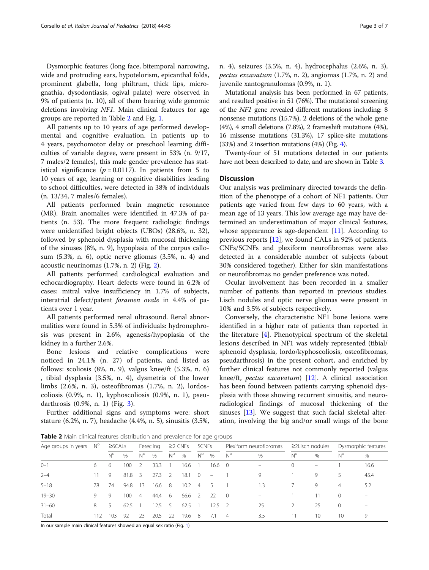Dysmorphic features (long face, bitemporal narrowing, wide and protruding ears, hypotelorism, epicanthal folds, prominent glabella, long philtrum, thick lips, micrognathia, dysodontiasis, ogival palate) were observed in 9% of patients (n. 10), all of them bearing wide genomic deletions involving NF1. Main clinical features for age groups are reported in Table 2 and Fig. [1.](#page-3-0)

All patients up to 10 years of age performed developmental and cognitive evaluation. In patients up to 4 years, psychomotor delay or preschool learning difficulties of variable degree, were present in 53% (n. 9/17, 7 males/2 females), this male gender prevalence has statistical significance ( $p = 0.0117$ ). In patients from 5 to 10 years of age, learning or cognitive disabilities leading to school difficulties, were detected in 38% of individuals (n. 13/34, 7 males/6 females).

All patients performed brain magnetic resonance (MR). Brain anomalies were identified in 47.3% of patients (n. 53). The more frequent radiologic findings were unidentified bright objects (UBOs) (28.6%, n. 32), followed by sphenoid dysplasia with mucosal thickening of the sinuses (8%, n. 9), hypoplasia of the corpus callosum (5.3%, n. 6), optic nerve gliomas (3.5%, n. 4) and acoustic neurinomas (1.7%, n. 2) (Fig. [2](#page-3-0)).

All patients performed cardiological evaluation and echocardiography. Heart defects were found in 6.2% of cases: mitral valve insufficiency in 1.7% of subjects, interatrial defect/patent foramen ovale in 4.4% of patients over 1 year.

All patients performed renal ultrasound. Renal abnormalities were found in 5.3% of individuals: hydronephrosis was present in 2.6%, agenesis/hypoplasia of the kidney in a further 2.6%.

Bone lesions and relative complications were noticed in 24.1% (n. 27) of patients, and listed as follows: scoliosis (8%, n. 9), valgus knee/ft (5.3%, n. 6) , tibial dysplasia (3.5%, n. 4), dysmetria of the lower limbs (2.6%, n. 3), osteofibromas (1.7%, n. 2), lordoscoliosis (0.9%, n. 1), kyphoscoliosis (0.9%, n. 1), pseudarthrosis (0.9%, n. 1) (Fig. [3\)](#page-4-0).

Further additional signs and symptoms were: short stature (6.2%, n. 7), headache (4.4%, n. 5), sinusitis (3.5%, n. 4), seizures (3.5%, n. 4), hydrocephalus (2.6%, n. 3), pectus excavatum (1.7%, n. 2), angiomas (1.7%, n. 2) and juvenile xantogranulomas (0.9%, n. 1).

Mutational analysis has been performed in 67 patients, and resulted positive in 51 (76%). The mutational screening of the NF1 gene revealed different mutations including: 8 nonsense mutations (15.7%), 2 deletions of the whole gene (4%), 4 small deletions (7.8%), 2 frameshift mutations (4%), 16 missense mutations (31.3%), 17 splice-site mutations (33%) and 2 insertion mutations (4%) (Fig. [4](#page-4-0)).

Twenty-four of 51 mutations detected in our patients have not been described to date, and are shown in Table [3.](#page-5-0)

#### **Discussion**

Our analysis was preliminary directed towards the definition of the phenotype of a cohort of NF1 patients. Our patients age varied from few days to 60 years, with a mean age of 13 years. This low average age may have determined an underestimation of major clinical features, whose appearance is age-dependent [[11\]](#page-6-0). According to previous reports [[12](#page-6-0)], we found CALs in 92% of patients. CNFs/SCNFs and plexiform neurofibromas were also detected in a considerable number of subjects (about 30% considered together). Either for skin manifestations or neurofibromas no gender preference was noted.

Ocular involvement has been recorded in a smaller number of patients than reported in previous studies. Lisch nodules and optic nerve gliomas were present in 10% and 3.5% of subjects respectively.

Conversely, the characteristic NF1 bone lesions were identified in a higher rate of patients than reported in the literature  $[4]$  $[4]$ . Phenotypical spectrum of the skeletal lesions described in NF1 was widely represented (tibial/ sphenoid dysplasia, lordo/kyphoscoliosis, osteofibromas, pseudarthrosis) in the present cohort, and enriched by further clinical features not commonly reported (valgus knee/ft, pectus excavatum)  $[12]$  $[12]$ . A clinical association has been found between patients carrying sphenoid dysplasia with those showing recurrent sinusitis, and neuroradiological findings of mucosal thickening of the sinuses [\[13](#page-6-0)]. We suggest that such facial skeletal alteration, involving the big and/or small wings of the bone

Table 2 Main clinical features distribution and prevalence for age groups

| Age groups in years $N^{\circ}$ |     | $\geq$ 6CALs |      | Ferecling               |               | $\geq$ 2 CNFs  |                | SCNFs          |                                 | Plexiform neurofibromas |      | ≥2Lisch nodules |                 | Dysmorphic features |                          |
|---------------------------------|-----|--------------|------|-------------------------|---------------|----------------|----------------|----------------|---------------------------------|-------------------------|------|-----------------|-----------------|---------------------|--------------------------|
|                                 |     | $N^{\circ}$  | $\%$ | $N^{\circ}$             | $\%$          | $N^{\circ}$    | %              | $N^{\circ}$    | %                               | $N^{\circ}$             | $\%$ | $N^{\circ}$     | $\%$            | $N^{\circ}$         | $\%$                     |
| $0 - 1$                         | 6.  | 6            | 100  | -2                      | 33.3          |                | 16.6           |                | $16.6 \quad 0$                  |                         | -    | $\Omega$        | $\equiv$        |                     | 16.6                     |
| $2 - 4$                         | 11. | 9            | 81.8 | $\overline{\mathbf{3}}$ | 27.3          | $\overline{2}$ | 18.1           | $\overline{0}$ | $\hspace{0.1mm}-\hspace{0.1mm}$ |                         | 9    |                 | 9               | 5                   | 45.4                     |
| $5 - 18$                        | 78  | 74           | 94.8 | 13                      | 16.6 8        |                | $10.2 \quad 4$ |                | 5 <sup>5</sup>                  |                         | 1.3  |                 | 9               | $\overline{4}$      | 5.2                      |
| $19 - 30$                       | 9.  | 9.           | 100  | $\overline{4}$          | 44.4 6        |                | 66.6 2         |                | -22                             | $\overline{0}$          |      |                 | 11              | $\Omega$            | $\overline{\phantom{0}}$ |
| $31 - 60$                       | 8.  | 5            | 62.5 |                         | $2.5 \quad 5$ |                | 62.5           |                | $12.5 \quad 2$                  |                         | 25   | $\mathcal{L}$   | 25              | $\Omega$            | $\overline{\phantom{0}}$ |
| Total                           | 112 | 103          | -92  | 23                      | 20.5          | - 22           | 19.6 8         |                | 7.1                             | -4                      | 3.5  | 11              | 10 <sup>2</sup> | 10                  | 9                        |

In our sample main clinical features showed an equal sex ratio (Fig. [1](#page-3-0))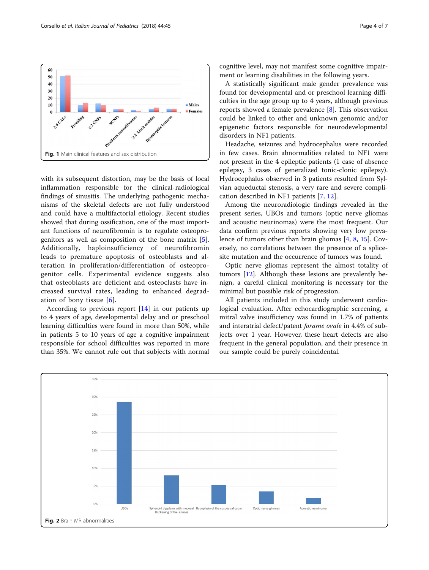with its subsequent distortion, may be the basis of local inflammation responsible for the clinical-radiological findings of sinusitis. The underlying pathogenic mechanisms of the skeletal defects are not fully understood and could have a multifactorial etiology. Recent studies showed that during ossification, one of the most important functions of neurofibromin is to regulate osteoprogenitors as well as composition of the bone matrix [\[5](#page-6-0)]. Additionally, haploinsufficiency of neurofibromin leads to premature apoptosis of osteoblasts and alteration in proliferation/differentiation of osteoprogenitor cells. Experimental evidence suggests also that osteoblasts are deficient and osteoclasts have increased survival rates, leading to enhanced degradation of bony tissue [[6](#page-6-0)].

According to previous report [[14](#page-6-0)] in our patients up to 4 years of age, developmental delay and or preschool learning difficulties were found in more than 50%, while in patients 5 to 10 years of age a cognitive impairment responsible for school difficulties was reported in more than 35%. We cannot rule out that subjects with normal cognitive level, may not manifest some cognitive impairment or learning disabilities in the following years.

A statistically significant male gender prevalence was found for developmental and or preschool learning difficulties in the age group up to 4 years, although previous reports showed a female prevalence [[8\]](#page-6-0). This observation could be linked to other and unknown genomic and/or epigenetic factors responsible for neurodevelopmental disorders in NF1 patients.

Headache, seizures and hydrocephalus were recorded in few cases. Brain abnormalities related to NF1 were not present in the 4 epileptic patients (1 case of absence epilepsy, 3 cases of generalized tonic-clonic epilepsy). Hydrocephalus observed in 3 patients resulted from Sylvian aqueductal stenosis, a very rare and severe complication described in NF1 patients [\[7](#page-6-0), [12\]](#page-6-0).

Among the neuroradiologic findings revealed in the present series, UBOs and tumors (optic nerve gliomas and acoustic neurinomas) were the most frequent. Our data confirm previous reports showing very low prevalence of tumors other than brain gliomas [\[4](#page-6-0), [8](#page-6-0), [15](#page-6-0)]. Coversely, no correlations between the presence of a splicesite mutation and the occurrence of tumors was found.

Optic nerve gliomas represent the almost totality of tumors [\[12](#page-6-0)]. Although these lesions are prevalently benign, a careful clinical monitoring is necessary for the minimal but possible risk of progression.

All patients included in this study underwent cardiological evaluation. After echocardiographic screening, a mitral valve insufficiency was found in 1.7% of patients and interatrial defect/patent forame ovale in 4.4% of subjects over 1 year. However, these heart defects are also frequent in the general population, and their presence in our sample could be purely coincidental.



<span id="page-3-0"></span>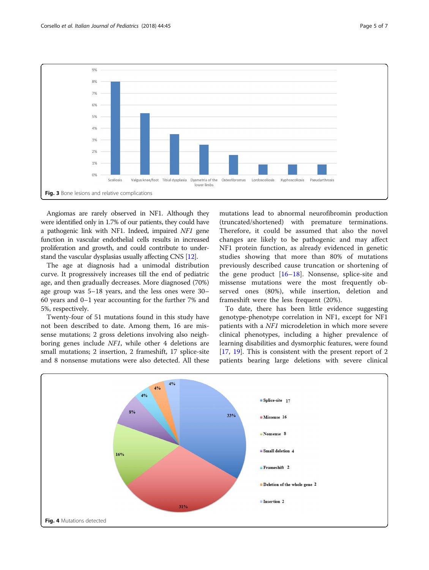<span id="page-4-0"></span>

Angiomas are rarely observed in NF1. Although they were identified only in 1.7% of our patients, they could have a pathogenic link with NF1. Indeed, impaired NF1 gene function in vascular endothelial cells results in increased proliferation and growth, and could contribute to understand the vascular dysplasias usually affecting CNS [\[12\]](#page-6-0).

The age at diagnosis had a unimodal distribution curve. It progressively increases till the end of pediatric age, and then gradually decreases. More diagnosed (70%) age group was 5–18 years, and the less ones were 30– 60 years and 0–1 year accounting for the further 7% and 5%, respectively.

Twenty-four of 51 mutations found in this study have not been described to date. Among them, 16 are missense mutations; 2 gross deletions involving also neighboring genes include NF1, while other 4 deletions are small mutations; 2 insertion, 2 frameshift, 17 splice-site and 8 nonsense mutations were also detected. All these mutations lead to abnormal neurofibromin production (truncated/shortened) with premature terminations. Therefore, it could be assumed that also the novel changes are likely to be pathogenic and may affect NF1 protein function, as already evidenced in genetic studies showing that more than 80% of mutations previously described cause truncation or shortening of the gene product  $[16–18]$  $[16–18]$  $[16–18]$  $[16–18]$ . Nonsense, splice-site and missense mutations were the most frequently observed ones (80%), while insertion, deletion and frameshift were the less frequent (20%).

To date, there has been little evidence suggesting genotype-phenotype correlation in NF1, except for NF1 patients with a NF1 microdeletion in which more severe clinical phenotypes, including a higher prevalence of learning disabilities and dysmorphic features, were found [[17,](#page-6-0) [19\]](#page-6-0). This is consistent with the present report of 2 patients bearing large deletions with severe clinical

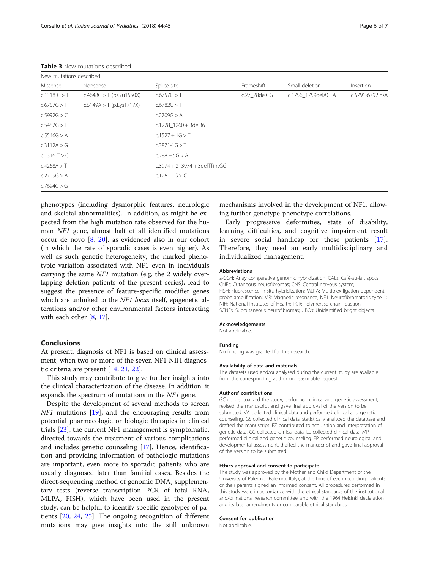<span id="page-5-0"></span>

| New mutations described |                             |                                 |              |                    |                 |  |  |  |  |
|-------------------------|-----------------------------|---------------------------------|--------------|--------------------|-----------------|--|--|--|--|
| Missense                | Nonsense                    | Splice-site                     | Frameshift   | Small deletion     | Insertion       |  |  |  |  |
| c.1318 C > T            | $c.4648G > T$ (p. Glu1550X) | c.6757G > T                     | c.27 28delGG | c.1756 1759delACTA | c.6791-6792insA |  |  |  |  |
| c.6757G > T             | $c.5149A > T$ (p.Lys1717X)  | c.6782C > T                     |              |                    |                 |  |  |  |  |
| c.5992G > C             |                             | c.2709G > A                     |              |                    |                 |  |  |  |  |
| c.5482G > T             |                             | $c.1228$ 1260 + 3del36          |              |                    |                 |  |  |  |  |
| c.5546G > A             |                             | $c.1527 + 1G > T$               |              |                    |                 |  |  |  |  |
| c.3112A > G             |                             | $c.3871 - 1G > T$               |              |                    |                 |  |  |  |  |
| $c.1316$ T $>$ C        |                             | $c.288 + 5G > A$                |              |                    |                 |  |  |  |  |
| c.4268A > T             |                             | $c.3974 + 2$ 3974 + 3delTTinsGG |              |                    |                 |  |  |  |  |
| c.2709G > A             |                             | c.1261-1G $>$ C                 |              |                    |                 |  |  |  |  |
| c.7694C > G             |                             |                                 |              |                    |                 |  |  |  |  |

phenotypes (including dysmorphic features, neurologic and skeletal abnormalities). In addition, as might be expected from the high mutation rate observed for the human NF1 gene, almost half of all identified mutations occur de novo [\[8](#page-6-0), [20](#page-6-0)], as evidenced also in our cohort (in which the rate of sporadic cases is even higher). As well as such genetic heterogeneity, the marked phenotypic variation associated with NF1 even in individuals carrying the same NF1 mutation (e.g. the 2 widely overlapping deletion patients of the present series), lead to suggest the presence of feature-specific modifier genes which are unlinked to the *NF1 locus* itself, epigenetic alterations and/or other environmental factors interacting with each other [[8,](#page-6-0) [17\]](#page-6-0).

#### Conclusions

At present, diagnosis of NF1 is based on clinical assessment, when two or more of the seven NF1 NIH diagnostic criteria are present [\[14,](#page-6-0) [21,](#page-6-0) [22\]](#page-6-0).

This study may contribute to give further insights into the clinical characterization of the disease. In addition, it expands the spectrum of mutations in the NF1 gene.

Despite the development of several methods to screen NF1 mutations [[19](#page-6-0)], and the encouraging results from potential pharmacologic or biologic therapies in clinical trials [[23\]](#page-6-0), the current NF1 management is symptomatic, directed towards the treatment of various complications and includes genetic counseling [[17\]](#page-6-0). Hence, identification and providing information of pathologic mutations are important, even more to sporadic patients who are usually diagnosed later than familial cases. Besides the direct-sequencing method of genomic DNA, supplementary tests (reverse transcription PCR of total RNA, MLPA, FISH), which have been used in the present study, can be helpful to identify specific genotypes of patients [\[20](#page-6-0), [24,](#page-6-0) [25\]](#page-6-0). The ongoing recognition of different mutations may give insights into the still unknown

mechanisms involved in the development of NF1, allowing further genotype-phenotype correlations.

Early progressive deformities, state of disability, learning difficulties, and cognitive impairment result in severe social handicap for these patients [\[17](#page-6-0)]. Therefore, they need an early multidisciplinary and individualized management.

#### Abbreviations

a-CGH: Array comparative genomic hybridization; CALs: Café-au-lait spots; CNFs: Cutaneous neurofibromas; CNS: Central nervous system; FISH: Fluorescence in situ hybridization; MLPA: Multiplex ligation-dependent probe amplification; MR: Magnetic resonance; NF1: Neurofibromatosis type 1; NIH: National Institutes of Health; PCR: Polymerase chain reaction; SCNFs: Subcutaneous neurofibromas; UBOs: Unidentified bright objects

#### Acknowledgements

Not applicable.

#### Funding

No funding was granted for this research.

#### Availability of data and materials

The datasets used and/or analysed during the current study are available from the corresponding author on reasonable request.

#### Authors' contributions

GC conceptualized the study, performed clinical and genetic assessment, revised the manuscript and gave final approval of the version to be submitted. VA collected clinical data and performed clinical and genetic counseling. GS collected clinical data, statistically analyzed the database and drafted the manuscript. FZ contributed to acquisition and interpretation of genetic data. CG collected clinical data. LL collected clinical data. MP performed clinical and genetic counseling. EP performed neurological and developmental assessment, drafted the manuscript and gave final approval of the version to be submitted.

#### Ethics approval and consent to participate

The study was approved by the Mother and Child Department of the University of Palermo (Palermo, Italy); at the time of each recording, patients or their parents signed an informed consent. All procedures performed in this study were in accordance with the ethical standards of the institutional and/or national research committee, and with the 1964 Helsinki declaration and its later amendments or comparable ethical standards.

#### Consent for publication

Not applicable.